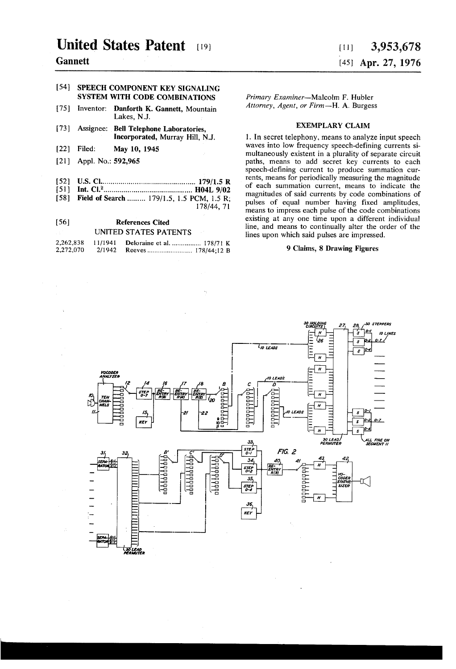#### [541 SPEECH COMPONENT KEY SIGNALING SYSTEM WITH CODE COMBINATIONS

- [75] Inventor: Dantorth K. Gannett, Mountain Lakes, NJ.
- [73] Assignee: Bell Telephone Laboratories, Incorporated, Murray Hill, NJ.
- [22] Filed: May 10, 1945
- [21] Appl. No.: **592,965**
- [52] US. Cl. ...................................... .. 179/15 R
- [51] Int. Cl.2 .......................................... .. H04L 9/02
- [58] Field of Search ......... 179/1.5, 1.5 PCM, 1.5 R; 178/44, 71

# [56] References Cited UNITED STATES PATENTS

| 2,262,838 | 11/1941 | <b>Deloraine et al.  178/71 K</b> |  |
|-----------|---------|-----------------------------------|--|
| 2,272,070 | 2/1942  |                                   |  |

Primary Examiner-Malcolm F. Hubler Attorney, Agent, or Firm—H. A. Burgess

## EXEMPLARY CLAIM

1. In secret telephony, means to analyze input speech waves into low frequency speech-defining currents simultaneously existent in a plurality of separate circuit paths, means to add secret key currents to each speech-defining current to produce summation currents, means for periodically measuring the magnitude of each summation current, means to indicate the magnitudes of said currents by code combinations of pulses of equal number having fixed amplitudes, means to impress each pulse of the code combinations existing at any one time upon a different individual line, and means to continually alter the order of the lines upon which said pulses are impressed.

#### 9 Claims, 8 Drawing Figures

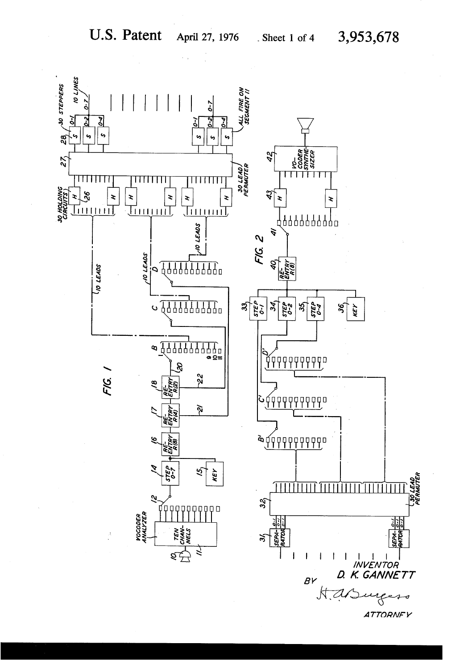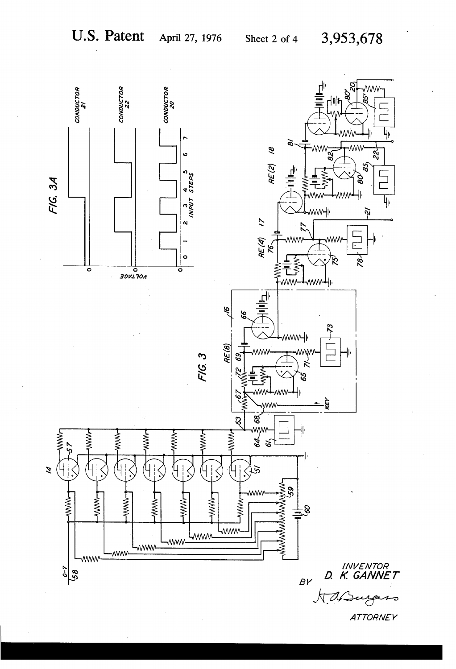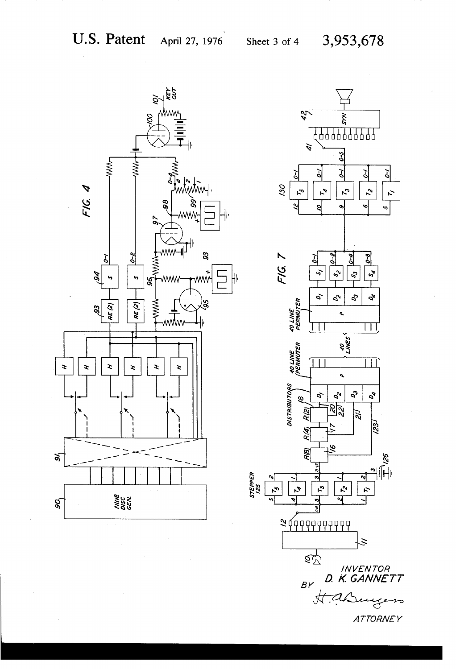

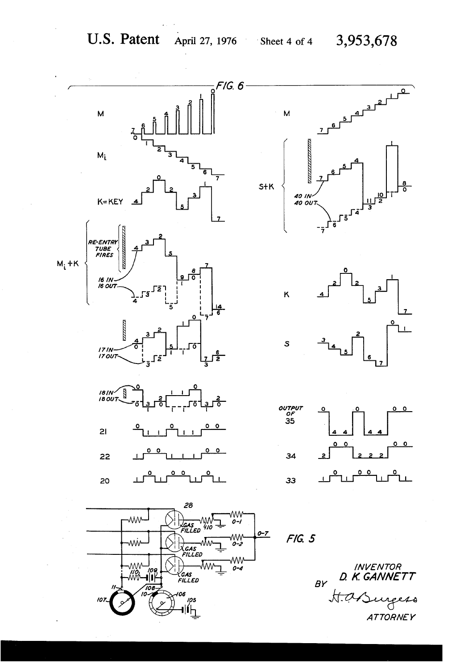

**ATTORNEY**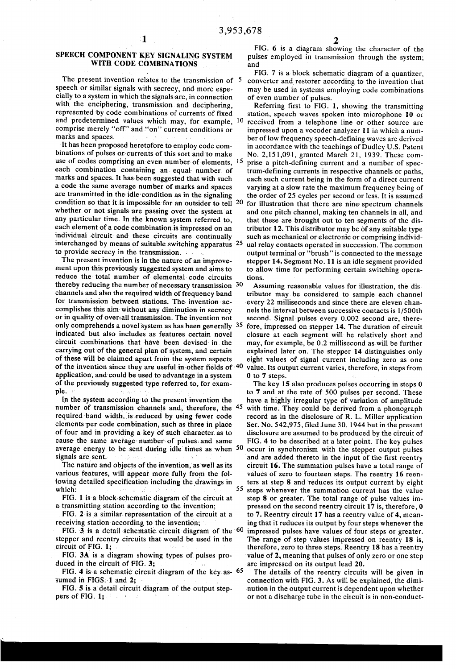## SPEECH COMPONENT KEY SIGNALING SYSTEM WITH CODE COMBINATIONS

The present invention relates to the transmission of 5 speech or similar signals with secrecy, and more espe cially to a system in which: the signals'are, in connection with, the enciphering, transmission. and deciphering, represented by code combinations of currents of fixed and predetermined values which may, for example, IO comprise merely "off" and "on" current conditions or marks and spaces.<br>It has been proposed heretofore to employ code com-

binations of pulses or-currents of this sort and to make use of codes comprising an even number of elements, 15 each combination containing an. equal number of marks and spaces. It has been suggested that with such a code the same average number of marks and spaces are transmitted in the idle condition as in the signaling condition so that it is impossible for an outsider to tell' 20 whether or not signals are passing over the system at any particular time. In the known system referred to, each element of a code combination is impressed on an individual circuit and these circuits are - continually to provide secrecy in the transmission.

The present invention is in the nature of an improve ment upon this previously suggested system and aims to reduce the total number of elemental code circuits thereby reducing the number of necessary transmission 30 channels and also the required width of frequency band for transmission between stations. The invention-ac complishes this aim without any diminution in secrecy or in quality of over-all transmission. The invention not only comprehends a novel system as has been generally <sup>35</sup> indicated but also includes as features certain novel circuit combinations that have been devised' in the carrying out of the general plan of system, and certain of these will be claimed apart from the system aspects of the invention since they are useful in other fields of  $40$ application, and-could be used'to advantage in a system of the previously suggested type referred to, for example.

In the system according to the present invention the number of transmission channels and, therefore, the 45 required band width, is reduced by using fewer code elements per code combination, such as three in place of four and in providing a key of such character. as to cause- the same average number of pulses-and same average energy to be sent during idle'times as when 50 signals are sent.

The nature and objects of the invention, as well as its various features, will appear more fully from the fol lowing detailed specification including the drawings in which:

FIG. 1 is a block schematic diagram of the circuit at a transmitting station according to the invention;

FIG. 2 is a similar. representation of the circuit at a receiving station according to the invention;

FIG. 3 is a detail schematic circuit diagram of the  $60$ stepper and reentry circuits that would be used in the circuit of FIG. 1;

FIG. 3A is a diagram showing types of pulses produced in the circuit of  $FIG. 3$ ;

FIG. 4 is a schematic circuit diagram of the key as  $-65$ sumed in FIGS. $1$  and  $2$ ;

FIG. 5 is a detail circuit diagram of the output step-<br>pers of FIG. 1;

FIG. 6 is a diagram showing the character of the pulses employed in transmission through the system; and

FIG. 7 is a block schematic diagram of a quantizer, converter and, restorer according to the invention that may be used in systems employing code combinations of even number of pulses.

interchanged by means of suitable switching apparatus  $25$  ual relay contacts operated in succession. The common Referring first to FIG. 1, showing the transmitting station, speech waves spoken into microphone 10 or received from a telephone line or other source are impressed upon a vocoder analyzer 11 in which a num ber of low frequency speech-defining waves are derived in accordance with the teachings of Dudley U.S. Patent No. 2,151,091, granted March 21, 1939. These comprise a pitch-defining current and a number of spec' trum-defining currents in respective channels or paths, each such current being in the form of a direct current varying at a slow rate the maximum frequency being of the order of 25 cycles per second or less. It is assumed for illustration that there are nine spectrum channels and one pitch channel, making ten channels in all, and that these are brought out to ten segments of the dis tributor 12. This distributor may-be of any suitable type such as mechanical or electronic or comprising individoutput terminal or "brush" is connected to the message stepper 14. Segment No. 11 is an idle segment provided to allow time for performing certain switching opera tions.

Assuming reasonable values for illustration, the dis tributor may be considered to sample each channel every 22 milliseconds and since there are eleven channels the interval between successive contacts is l/500th second. Signal pulses every 0.002 second are, there fore, impressed on stepper 14. The duration of circuit closure at each segment will be relatively short and may, for example, be 0.2 millisecond as will be further explained later on. The stepper l4 distinguishes only eight values of signal current including zero as one value. Its output current varies, therefore, in steps from  $0$  to 7 steps.

55 The key 15 also produces pulses occurring in steps 0 to 7 and at the rate of 500 pulses per second. These have a highly irregular type of variation of amplitude with time. They could be derived from a phonograph record as in the disclosure of R. L. Miller application Ser. No. 542,975, filed June 30, 1944 but in the present disclosure are assumed to be produced by the circuit of FIG. 4 to be described at a later point. The key pulses occur in synchronism with the stepper output pulses and are added thereto in the input of the first reentry circuit 16. The summation pulses have a total range of values of zero to fourteen steps. The reentry 16 reen ters at step 8 and 'reduces its output current by eight steps whenever the summation current has the value step 8 or greater. The total range of pulse values im pressed on the second reentry circuit 17 is, therefore, 0 to 7. Reentry circuit 17 has a reentry value of 4, mean ing that it reduces its output by four steps whenever the impressed pulses have values of four steps or greater. The range of step values impressed on reentry 18 is, therefore, zero to three steps. Reentry 18 has a reentry value of 2, meaning that pulses of only zero or one step are impressed on its output lead 20.

The details of the reentry circuits will be given in connection with FIG. 3. As will be explained, the dimi nution in the output current is dependent upon whether or not a discharge tube in the circuit is in non-conduct

2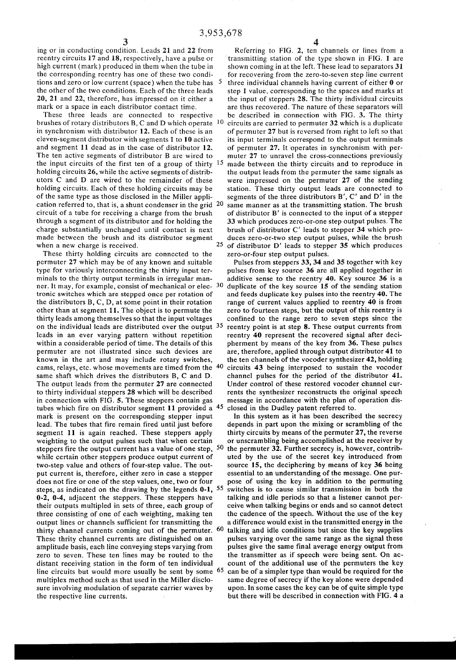ing or in conducting condition. Leads 21 and 22 from reentry circuits 17 and 18, respectively, have a pulse or high current (mark) produced in them when the tube in the corresponding reentry has one of these two conditions and zero or low current (space) when the tube has 5 the other of the two conditions. Each of the three leads 20, 21 and 22, therefore, has impressed on it either a mark or a space in each distributor contact time.

These three leads are connected to respective brushes of rotary distributors B, C and D which operate 10 in synchronism with distributor 12. Each of these is an eleven-segment distributor with segments 1 to 10 active and segment 11 dead as in the case of distributor 12. The ten active segments of distributor B are wired to the input circuits of the first ten of a group of thirty  $15$  made between the thirty circuits and to reproduce in holding circuits 26, while the active segments of distributors C and D are wired to the remainder of these holding circuits. Each of these holding circuits may be of the same type as those disclosed in the Miller application referred to, that is, a shunt condenser in the grid 20 circuit of a tube for receiving a charge from the brush through a segment of its distributor and for holding the charge substantially unchanged until contact is next made between the brush and its distributor segment  $25$ when a new charge is received.

These thirty holding circuits are connected to the permuter 27 which may be of any known and suitable type for variously interconnecting the thirty input terminals to the thirty output terminals in irregular manner. It may, for example, consist of mechanical or elec- 30 tronic switches which are stepped once per rotation of the distributors  $B, C, D$ , at some point in their rotation other than at segment 11. The object is to permute the thirty leads among themselves so that the input voltages on the individual leads are distributed over the output  $35$ leads in an ever varying pattern without repetition within a considerable period of time. The details of this permuter are not illustrated since such devices are known in the art and may include rotary switches. cams, relays, etc. whose movements are timed from the 40 same shaft which drives the distributors B, C and D. The output leads from the permuter 27 are connected to thirty individual steppers 28 which will be described in connection with FIG. 5. These steppers contain gas tubes which fire on distributor segment 11 provided a 45 mark is present on the corresponding stepper input lead. The tubes that fire remain fired until just before segment 11 is again reached. These steppers apply weighting to the output pulses such that when certain 50 steppers fire the output current has a value of one step, while certain other steppers produce output current of two-step value and others of four-step value. The output current is, therefore, either zero in case a stepper does not fire or one of the step values, one, two or four steps, as indicated on the drawing by the legends 0-1, 0-2, 0-4, adjacent the steppers. These steppers have their outputs multipled in sets of three, each group of three consisting of one of each weighting, making ten output lines or channels sufficient for transmitting the thirty channel currents coming out of the permuter. 60 These thrity channel currents are distinguished on an amplitude basis, each line conveying steps varying from zero to seven. These ten lines may be routed to the distant receiving station in the form of ten individual line circuits but would more usually be sent by some 65 multiplex method such as that used in the Miller disclosure involving modulation of separate carrier waves by the respective line currents.

Referring to FIG. 2, ten channels or lines from a transmitting station of the type shown in FIG. 1 are shown coming in at the left. These lead to separators 31 for recovering from the zero-to-seven step line current three individual channels having current of either 0 or step 1 value, corresponding to the spaces and marks at the input of steppers 28. The thirty individual circuits are thus recovered. The nature of these separators will be described in connection with FIG. 3. The thirty circuits are carried to permuter 32 which is a duplicate of permuter 27 but is reversed from right to left so that its input terminals correspond to the output terminals of permuter 27. It operates in synchronism with permuter 27 to unravel the cross-connections previously the output leads from the permuter the same signals as were impressed on the permuter 27 of the sending station. These thirty output leads are connected to segments of the three distributors B', C' and D' in the same manner as at the transmitting station. The brush of distributor B' is connected to the input of a stepper 33 which produces zero-or-one step output pulses. The brush of distributor C' leads to stepper 34 which produces zero-or-two step output pulses, while the brush of distributor D' leads to stepper 35 which produces zero-or-four step output pulses.

Pulses from steppers 33, 34 and 35 together with key pulses from key source 36 are all applied together in additive sense to the reentry 40. Key source 36 is a duplicate of the key source 15 of the sending station and feeds duplicate key pulses into the reentry 40. The range of current values applied to reentry 40 is from zero to fourteen steps, but the output of this reentry is confined to the range zero to seven steps since the reentry point is at step 8. These output currents from reentry 40 represent the recovered signal after decipherment by means of the key from 36. These pulses are, therefore, applied through output distributor 41 to the ten channels of the vocoder synthesizer 42, holding circuits 43 being interposed to sustain the vocoder channel pulses for the period of the distributor 41. Under control of these restored vocoder channel currents the synthesizer reconstructs the original speech message in accordance with the plan of operation disclosed in the Dudley patent referred to.

In this system as it has been described the secrecy depends in part upon the mixing or scrambling of the thirty circuits by means of the permuter 27, the reverse or unscrambling being accomplished at the receiver by the permuter 32. Further secrecy is, however, contributed by the use of the secret key introduced from source 15, the deciphering by means of key 36 being essential to an understanding of the message. One purpose of using the key in addition to the permuting switches is to cause similar transmission in both the talking and idle periods so that a listener cannot perceive when talking begins or ends and so cannot detect the cadence of the speech. Without the use of the key a difference would exist in the transmitted energy in the talking and idle conditions but since the key supplies pulses varying over the same range as the signal these pulses give the same final average energy output from the transmitter as if speech were being sent. On account of the additional use of the permuters the key can be of a simpler type than would be required for the same degree of secrecy if the key alone were depended upon. In some cases the key can be of quite simple type but there will be described in connection with FIG. 4 a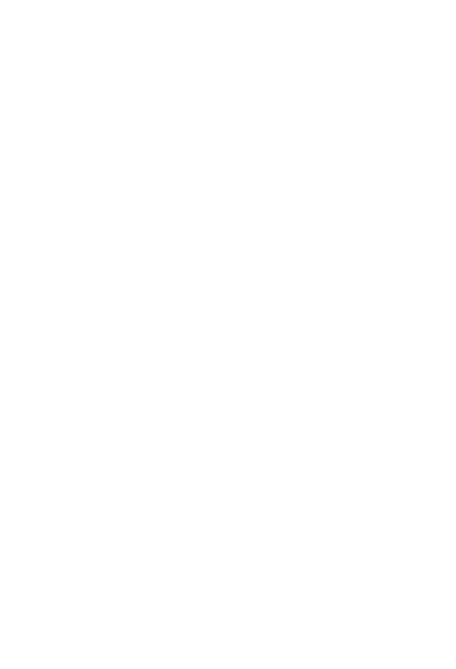5

key generator capable of giving a high degree of secrecy especially when used in conjunction with the permuters.

Referring to FIG. 3, the detail circuit is given for the stepper 14 and reentries 16, 17 and 18. The stepper 14 comprises seven gas-filled tubes 51 to 57 all having their grids connected in common to the input conductor 58 leading to the brush of distributor 12 (FIG. 1). A potentiometer resistor 59 and battery 60 supply varying amounts of negative grid bias to the individual tube 10 grids so that these tubes fire in varying numbers depending upon the strength of the impressed signal. A very weak signal will not fire any of the tubes, a slightly stronger signal will fire only tube 51, a still stronger signal will fire only tubes 51 and 52, and so on, the 15 strongest signal firing all seven tubes. These tubes fire only when a positive voltage is applied to their plates. Such voltage is applied in pulses from pulsing supply 61 which is arranged momentarily to interrupt and reapply the voltage while brush 12 is passing over each non- 20 conducting region between two segments of its distributor, the voltage being restored just before the next conducting segment is reached. This prepares the stepper tubes for a fresh exposure at each distributor segment. The combined currents for the stepper tubes 25 flowing in series through resistor 64 cause the voltage at point 63 to vary in steps, the highest voltage corresponding to step  $\theta$  and the lowest corresponding to step 7. The signal steps appear inverted in polarity, therefore, at point  $63$ . The construction and operation of the  $30$ pulsing supply 61 can follow known practice as disclosed by way of example in the Lundstrom-Schimpf application, Ser. No. 456,322, filed Aug. 27, 1942. This pulsing supply can be arranged to apply positive voltage to the stepper tube plates in pulses of definite 35 length as will be explained further on.

The reentry circuit 16 comprises a gas-filled tube 65 and a high vacuum tube 66. The tube 65 has its grid bias adjusted so as to fire on steps 0 to 7 but not to fire on steps 8 to 14. The high resistors 67 and 68 allow the 40 message stepper voltage output and key output to be added and to apply a summation voltage varying in steps over the range zero to fourteen steps as already stated. When the tube 65 fires it draws current through steps. Thus, the (positive) voltage at point 69 tends to be raised by eight steps when the tube does not fire, as compared with the cases in which the tube fires.

This is illustrated in FIG. 6 under the left column representing the enciphering steps. In this figure the 50 upper graph illustrates a succession of message pulses M having step values ranging from zero to 7 steps. In order to facilitate the description of the process illustrated in this figure, the arbitrary assumption is made that zero step value is at the topmost position in the 55 case of each graph and that the steps are counted downward. The original message as sampled by the distributor 12 and applied to the input of the stepper 14 is in the form of short pulses M. These are inverted in the stepper 14 giving pulses  $M_i$ . The key, K, is added 60 giving the summation pulses  $M_i + K$ .

The range of step values within which the reentry tube 65 fires is indicated by the vertical cross-hatched bar. The graph  $M_i + K$  is really two graphs in one, the solid line representing input to the reentry 16 and the 65 dotted line representing the output pulses. When the tube 65 fires, no reentry occurs and the step value remains unchanged. When tube 65 fails to fire, the

voltage at point 63 is actually raised by eight steps as stated but the step value of the pulse is reduced by this amount since the pulses are measured downward. In order to represent this in the double graph representing  $M_i + K$ , the pulses of small step value corresponding to the no-reentry case are shifted in the figure to the dotted line level and it will be seen that those input pulses having step values of eight or greater are reduced in step value by eight steps as indicated by the two step value designations, the one above the pulse applying to the situation before reentry and the one below the pulse applying to the step value after reentry has taken place. In other words, the only pulses that have undergone a change in step value are the large summation pulses of eight step value or greater. It will be understood that the total range of voltage steps impressed on the grid of tube 66 is zero to seven steps and is the resultant of the output stepper voltage plus key voltage transmitted through the series resistor 72 with a sudden

shift of eight steps in this voltage in the case of certain of the pulses dependent upon firing of tube 65 as described.

The pulsing supply  $73$  is similar to that at  $61$  but is displaced slightly in phase so that a message-plus-key voltage is established before the plate voltage is applied to tube 65, as will be more fully indicated.

Tube 66 repeats the output pulses from point 69 to the grid of reentry 17 and presents a low impedance to reentry 17. Reentry 17 operates in the same manner as reentry 16 except that its gas-filled tube 75 has such a bias as to permit this tube to fire on steps  $0$  to  $3$  and to fail to fire on steps 4 to 7. This causes the voltage at 76 to vary only to the extent of steps  $0$  to 3, for on steps 4 to 7 four steps are subtracted. Whenever tube 75 fires, the voltage at point 77 has its minimum value (steps  $0$ to 3) and it has maximum value when the tube fails to fire (steps 4 to 7). These voltages appear on lead 21 in the manner shown by the graph labeled "conductor 21" in FIG. 3A.

Reentry 18 operates similarly except that the bias on its gas tube  $80$  is such that this tube fires on steps  $0$  and 1 and fails to fire on steps 2 and 3. When the tube fires it subtracts two steps of voltage from the output at point 81. On step 0 tube 80' fires putting a space on resistor 71 and drops the potential at point 69 by eight <sup>45</sup> lead 20, but on step 1 tube 80' fails to fire putting a mark on lead 20. Only two values of output pulses appear, therefore, on lead 20, these being minimum and maximum or spacing and marking. These alternate with each added step of input as shown by the graph in FIG. 3A labeled "conductor 20." Lead 22 receives maximum and minimum voltage (marks and spaces) from point 82 and these each correspond to two steps of change in applied voltage, as shown by the graph in FIG. 3A labeled "conductor 22."

> As already noted, there must be some time displacement between the supply pulses generated at 61 and 73 and this is also true of the other supplies shown in FIG. 3. In order to indicate in a purely illustrative non-limiting manner what these time relations might be, certain numerical values will be assumed as follows: The distributor unit time as measured from the beginning of one contact time to the beginning of the next will be taken as 2 milliseconds. The actual duration of each contact closure time in the case of each distributor is 0.2 milliseconds. The length of the supply pulses from source 61 will be taken as 1.8 milliseconds with 0.2 millisecond interruption between pulses, and the pulses from supplies  $73, 78, 85$  and  $85'$  will be 1.0 millisecond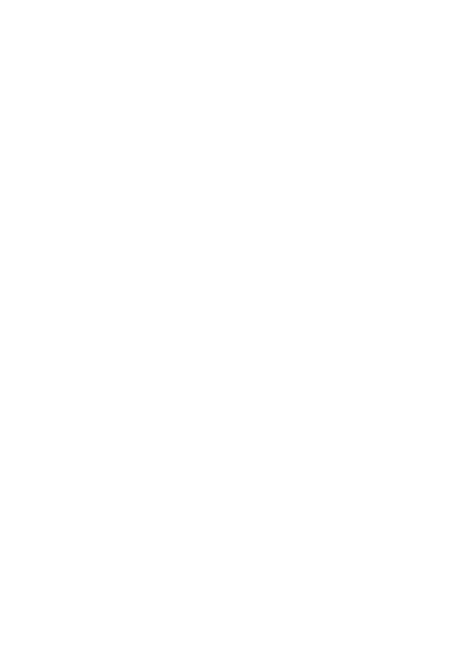long with 1.0 millisecond interruption. With these values in mind, if a 2-millisecond interval is considered as scaled off between time 0 and time 2 milliseconds, the supply pulse from 61 to the stepper may last from time 0 to time 1.8 on this scale, distributor 12 closes its 5 contact from times 0.1 to 0.3 on the scale, the pulses from 73, 78, 85 and 85' occur respectively at times 0.5 to 1.5, 0.6 to 1.6, 0.7 to 1.7 and 0.8 to 1.8, while the distributors B, C and D each make contact closure from times 1.0 to 1.2 milliseconds. These relations give  $10$ each gas tube circuit time to stabilize before any use is made of the current flowing through the tube. The pulses supplied to the holding circuits are of 0.2 millisecond duration which is sufficient to enable these circuits to respond. The line pulses endure for approxi- 15 mately 10 distributor intervals or about 20 milliseconds.

While the graphs in FIG. 3A show minimum rather than zero voltage for the spacing condition, the spaces are referred to for convenience as zero and they can 20 readily be made zero by use of a small opposing direct voltage applied between each lead 20, 21 or 22 and whatever circuit is connected to such lead. The transformations that are effected by the reentries 17 and 18 and the currents that finally reach the three leads 20, 25 21 and 22 are illustrated by the lowermost graphs in FIG. 6, left column.

It is seen from looking at these three series of pulses represented at 20, 21 and 22 (which are sent over three different channels) that in the first time interval the 30 code pulses are, reading from the top down, mark, space, space. In the second time interval the code space, mark, mark is sent, etc.

The right-hand column of FIG. 6 when read from the bottom upward shows the transformations gone 35 through in deciphering the message at the receiver. The code pulses are received and differently weighted as represented for the output pulses from steppers 33, 34 and 35. When these are added to one another, the graph S immediately above is obtained. The key, K, is 40 then added giving the summation S and K which is reentered at step  $\overline{8}$  to give the resulting steps indicated by dotted line. This has the shape of the original message but in practice may need to be shifted by use of a proper bias to the absolute level of the original mes-45 sage.

It will be noted that in the process of enciphering and deciphering, duplicate keys are used and that in each case the key is added in the same manner to the message or to the received enciphered wave. This is possi- 50 ble because one inversion is made in the system between the points where the two keys are applied and also one other inversion is made external to these two points, in this case in stepper 14. If there are other inversions there must be an even number of them in 55 order to allow for use of keys that have like sign and that are similarly added. Instead of making the second of the two mentioned inversions at the transmitter, ahead of the point where the key is added, it could be made at the receiver after the point where the key is <sup>60</sup> the output side of one to the input side of the other so put in.

The enciphering and deciphering processes can be illustrated symbolically using the same notations that appear on FIG. 6. The message M in becoming inverted 65 is subtracted from a constant quantity I.

 $M_i = I - M$ 

 $M_i + K = I - M + K$  in the no-reentry case. This is again inverted and gives

 $S = I - [I - M + K] = M - K$  which is the received wave before the key is added. Adding the key K, the message M is obtained.

In the case involving reentry, if the number of steps by which the pulses are reduced upon reentry is R, we have after reentry

$$
I - M + K - R
$$

 $S = I - [I - M + K - R] = M - K + R$ .

Adding the key we obtain

 $M + R$  which after reentry gives

 $M + R - R = M.$ 

These expressions are directly applicable to the diagrams on FIG. 6 where I is assumed to equal 7 steps and R to equal 8 steps.

By omitting the reentry 16 (the part enclosed in the broken line rectangle) of FIG. 3, the circuit comprising the remainder of this figure is the type of circuit that would be used as each one of the separators 31 of FIG. 2. The three output leads from the separator, carrying voltages 0 or 1 as indicated in FIG. 2 are the three conductors 20, 21 and 22 of FIG. 3. Conductor 21 (see FIG. 3A) has low or zero voltage for steps  $0$  to 3, and high voltage for steps 4 to 7; conductor 22 has low or zero voltage for steps  $0$ , 1 and  $4$ , 5 and high voltage for steps 2, 3 and 6, 7; and conductor 20 has high voltage for odd-numbered steps and low or zero voltage for

evennumbered steps including zero. The key producing circuit shown in FIG. 4 employs parts which are identical with corresponding parts disclosed in detail in my prior application Ser. No. 555,913, filed Sept. 27, 1944. As there disclosed, primary off-on pulses are produced by nine rotating discs which have rows of irregularly spaced holes through them with means for projecting light through the holes to photoelectric cells, the rotating discs acting as shutters and causing the production of irregular series of pulses of current in the photoelectric cell outputs. This machine is generally indicated by the rectangle 90 and so far as the present invention is concerned this part 90 could be any other suitable type of device for producing highly irregularly occurring marks and spaces in the nine output leads extending to the right from the box 90. These nine leads are carried through a cross-connecting panel 91 which provides for variously interchanging from time to time or under transmission requirements the connections on one side of the frame to the connections on the opposite side. The outgoing conductors from frame 91 are divided into three groups of three. One group leads to the holding circuits 92; the second group leads (dotted lines) to control circuits for determining which holding circuit receives the pulses, these control circuits being indicated in the figure merely as movable contacts or switches; and the third group extends to three reentry circuits 93. The holding circuits have their outputs paired and each pair also connects to one of the reentry circuits 93.

These holding circuits, as more fully disclosed in my prior application referred to, each comprise a pair of vacuum tubes arranged with a cross-connection from that one tube of the pair is passing maximum current while the other is passing minimum current. One or more switching tubes are associated with each pair for determining whether the upper or lower holding circuit of a given pair is placed under control of the associated conductor of the first group of three conductors coming from the frame 91. The holding circuit that is so placed under control of the respective conductors puts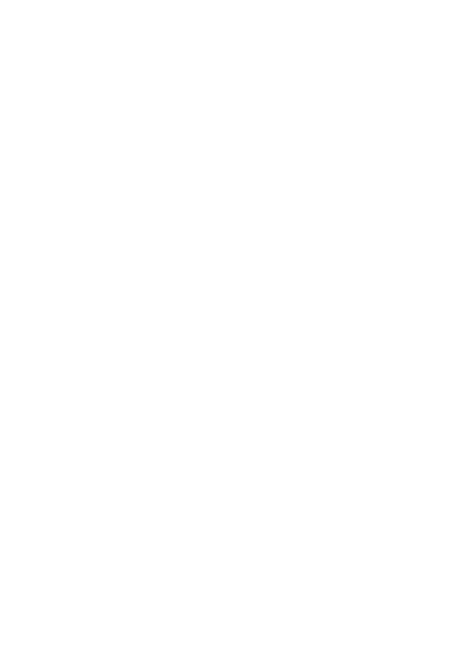out marks or spaces under control of pulses received over the respective conductor, while the opposite holding circuit remains in the condition in which it was last placed and continues to put out either continuous marking current or continuous spacing, as the case may 5 be

The reentries 93 and steppers 94 are all alike except for the weighting used in the outputs of the latter. Each reentry includes a gas tube 95 which (assuming the marks consist of positive current and the spaces zero 10 current) fires only in response to application of two steps of current. On step 0, the potential of point 96 has insufficient value to fire the stepper tube 97 which is normally negatively biased. On step 1, stepper 97 fires due to the increased grid potential. On step 2, tube 95 15 fire and reduces the potential at point 96 by two steps preventing the stepper from firing. On step 3, tube 95 fires but the stepper tube 97 also fires as in the case of step 1. The potential at point 98 is, therefore, high on reentry input steps 0 and 2 and low on steps 1 and 3. 20 The weighting of the output pulses from the steppers is determined by the points of connection of the output lead to the potentiometer resistor 99, the positions for stepper output step 1, step 2 and step 4 being indicated. The three steppers are set to give, respectively, output 25 steps  $0$  or  $1$ ,  $0$  or  $2$  and  $0$  or  $4$ . These are supplied through a phase reversing tube 100 whose plate current is substantially zero with zero applied pulses, while for stepper output steps 0 to 7 the potential at 101 varies stood that the pulsing supplies for all the stepper and reentry tubes at one station are timed from a common source and that the necessary phase displacements are made so that the tube in one stage fires at about the middle of the pulse in the output of the next preceding 35 stage. para carpofyging

Referring to FIG. 5, the uppermost group of three steppers 28 of FIG. 1 are shown. These comprise gasfilled tubes whose grids are supplied with marks and spaces from the permuter  $27$ , it being assumed that at  $40$ this point the marks are positive pulses and the spaces have zero or near zero value of voltage. Negative voltage from source 105 is applied to the cathodes of all thirty tubes in common whenever the circuit breaker This is the case throughout the entire rotation except for a short segment coinciding in time and phase with the No. 10 segment of distributors B, C and D. The grids are biased highly negative from source 109 at all times except during distributor time 11 by means of a 50 second rotary switch 107 which is interposed in the common return of all of the grid connections to the common cathode connection. The same shaft may drive the distributors and the rotary switches 106 and 107. During distributor time 11, battery 109 and resis- 55 tor 110 are shorted out by 107. The battery 105 and switch 106 afford a source of interrupted space current supply for the stepper tubes 28. It will be clear that all of those tubes which were in conducting condition when the brush  $108$  came on to the insulating segment  $60$ 10 were restored by interruption of their space current supply lead and that as soon as the two brushes come on to the conducting part of their discs in distributor time 11, all those tubes will fire which are receiving a marking voltage on their grids. At the end of distributor 65 time 11 the grids are all biased negative again, allowing the holding circuits 26 and permuter 27 to rearrange the connections to the grids and the voltage conditions

on them without affecting the operation of the stepper tubes during distributor times 1 to 10.

The stepper tubes, therefore, put out long pulses of current. These are weighted by potentiometer resistances at 110 in their outputs to cause the three tubes of each group of three to put out, respectively, currents of maximum step values 1, 2 and 4 which add in the outgoing line or channel conductor to give, including zero, all steps from 0 to 7.

FIG. 7 shows how the same types of apparatus elements such as steppers, reentry circuits and permuting switches can be used to code and decode signal currents in a system using a code made up of an even number of two-valued pulses. In this case as previously pointed out the same number of pulses is sent out in both the talking and idle conditions. The use of secret key currents as disclosed in the other figures in accordance with a feature of this invention is not assumed in this modification, therefore.

In this figure, the analyzer 11 and synthesizer 42 together with distributors 12 and 41 may be the same as in FIG. 1. The message stepper 125 has only five tubes  $T_1$  to  $T_5$  since only six steps 0 to 5 in the signal are in this case assumed to be recognized. Tube  $T_1$  fires on one step value and each of the other tubes fires as the steps increase progressively to step 5. The tubes contain weighting networks similar to those described in connection with FIG. 5 for causing the tubes  $T_1$  to  $T_5$  to progressively in the negative direction. It will be under- 30 put out, respectively, the following step values of current when fired:  $2, 1, 3, 1$  and  $2$ . When no tubes fire, corresponding to step 0, the battery 126 supplies a voltage of step 3 value. All of the tubes have their outputs connected in common to the input of reentry 16 through high resistances (not shown) which allow the voltages to add in the input of the first reentry circuit. The minimum step value of voltage applied to reentry 16 is, therefore, three and the maximum is twelve, and the intervening steps are seen to be, for progressively increasing signal values, 5, 6, 9 and 10 since the stepper tubes in firing contribute voltage in this sequence and in these amounts.

Reentry circuits 16, 17 and 18 function as previously described in connection with FIG. 1 except that a 106 has its metal portion in contact with its brush 108. 45 fourth output lead 123 is supplied for the tube in reentry 16 analogous to leads 21 and 22 for reentries 17 and 18. It is seen that lead 123 has one of two voltage conditions (mark or space) when the signal has step values of zero, one or two and the other voltage condition when the signal has step values of four, five or six. Lead 21 has one of two voltage conditions when the signal has step values zero, three or four and the other voltage condition when the signal has step values of one, two or five. Lead 22 has one of two voltage conditions when the signal has step values one, three or five and the other voltage condition when the signal has step values zero, two or four. Lead 20 has one of two voltage conditions when the signal has step values of two, four or five and the other voltage condition when the signal has step values zero, one or three. These conditions can be more readily perceived by tabulating them, as follows, where one of the two voltage conditions is indicated by S and the other by M:

| Signal value steps 0 1 2                                                                       |    |   |  |        |  |
|------------------------------------------------------------------------------------------------|----|---|--|--------|--|
| Lead 123 S S S M<br>Lead 21 S M M S<br>$\mathbb{R}^3$ and $\mathbb{R}^3$ . Lead $\mathbb{R}^3$ | 22 | M |  | M<br>М |  |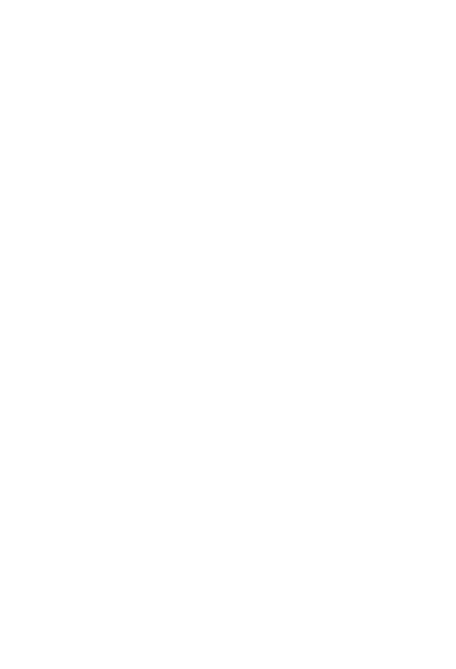|                                            | -continued     |  |  |  |  |
|--------------------------------------------|----------------|--|--|--|--|
| Signal value steps $0 \t1 \t2 \t3 \t4 \t5$ |                |  |  |  |  |
| Lead                                       | 20 M M S M S S |  |  |  |  |

Each vertical column represents the code for one value of signal current and each code combination is seen to consist of two M's and two S's showing that in all cases the number of pulses sent out is the same whether the  $_{10}$ signal has zero or some other value.

The pulses on these four leads are distributed by means of the four distributors  $D_1$ ,  $D_2$ ,  $D_3$  and  $D_4$  over forth circuits and are applied to holding circuits and sent through a forty-lead permuter  $P$ , these elements  $15$ being of the same construction as the corresponding elements of FIG. 1. The transmission is indicated as taking place over these forty conductors to the receiver but it will be clear that any known and suitable type of multiplex transmission can be employed for this pur-  $20$ 

At the receiver the forty signal circuits are passed through a second permuter P which is a duplicate of the first one but turned around from right to left in the circuit and the leads are thereby restored to their origi- 25 nal order and applied to the receiving distributors D<sub>1</sub>,  $D_2D_3$  and  $D_4$  the brushes of which connect, respectively, to the four stepper tubes  $S_1$  to  $S_4$ . These are similar to the stepper tubes 33, 34 and 35 and have weighting networks for producing output pulses having, 30 respectively, amplitudes of zero or one step, zero or two steps, zero or four steps and zero or eight steps. They are provided with high resistance voltage adding circuits for connection in common to the stepper 130 the five tubes of which are indicated at  $T_1$  to  $T_5$ . These 35 have bias values such that it requires five steps of input voltage to fire tube  $T_1$ , six steps to fire tube  $T_2$ , nine steps to fire tube  $T_3$ , ten steps to fire tube  $T_4$  and twelve steps to fire tube  $T_5$ . The step values that can be applied to these five tubes from the steppers  $S_1$  to  $S_4$  are seen to 40 be (in addition to zero) the combinations of  $1, 2, 4$  and 8 in any one of the six arrangements indicated in the table given above. To illustrate, the combination for zero signal value calls for the summation  $0 + 0 + 2 + 1$  $=$  3 steps. Since this value is less than is required to fire 45 any tube in the stepper 130, zero output is obtained from this stepper. The combination for signal of one step value (second column of table) calls for the addition  $0 + 4 + 0 + 1 = 5$  steps which is just sufficient to fire tube  $T_1$  of stepper 130 giving unit output. The third 50 combination corresponding to a step two value of signal gives a summation  $0 + 4 + 2 + 0 = 6$  steps, or enough to fire tubes  $T_1$  and  $T_2$  of stepper 130, giving a final output of two steps. The way in which the other signal values are recovered will be obvious from the 55 table and from the description together with the numbers marked on the drawing giving the step values involved. As a result of this action, a zero to five step signal is reproduced on the brush of the final distributor 41 leading to the synthesizer 42.

What is claimed is:

1. In secret telephony, means to analyze input speech waves into low frequency speech-defining currents simultaneously existent in a plurality of separate circuit paths, means to add secret key currents to each speech- 65 defining current to produce summation currents, means for periodically measuring the magnitude of each summation current, means to indicate the magni-

tudes of said currents by code combinations of pulses of equal number having fixed amplitudes, means to impress each pulse of the code combinations existing at any one time upon a different individual line, and means to continually alter the order of the lines upon which said pulses are impressed.

2. In secret telephony, means to analyze input speech waves into a plurality of low frequency speech-defining currents simultaneously existent in a plurality of separate circuit paths, means to sample the currents in said paths in rotation, means to generate secret key currents in timed relation to said sampling to provide a separate key current for each sample of said speed-defining currents, means to combine individual key currents with the respective samples of speech-defining currents to form enciphered currents, means to produce code pulse combinations each combination consisting of a plurality of elements of fixed amplitude values each code combination representing a different value of said enciphered current, a number of circuits equal to the product of the number of said separate circuit paths by the number of elements per code combination, and means to distribute the pulses representing said code elements in irregular and changing order over said *circuits* 

3. In secret telephony, means to analyze input speech waves into a plurality of low frequency speech-defining currents flowing in separate circuits, means to add secret key currents to each said speech-defining current to produce summation currents, means to translate instantaneous values of said summation currents into code combinations of marks and spaces comprising means to produce a mark or space depending upon whether the instantaneous value of said summation currents lies within one range of values or another, and means to produce other marks or spaces depending upon whether said instantaneous value lies within one or other of different fractional parts of one of said two ranges, a separate output circuit for each mark and space, and means to interchange said output circuits with one another in irregular manner.

4. In a secret signaling system, a plurality of separate circuits, N in number, carrying signal currents to be enciphered, means to add secret key currents to the signal currents in each circuit to provide summation currents, means to indicate instantaneous values of said summation currents in terms of a permutation code consisting of Q two-valued elements of predetermined fixed values, means to supply each code element to an individual one of NQ output circuits, means to permute said output circuits irregularly and continually with respect to NQ output terminals, and means to transmit indications of the currents impressed upon individual output terminals.

5. A system as claimed in claim 4 comprising a single transmission channel for each of a group of said output terminals, means for combining the currents from the output terminals of any one group into a composite current suitable for transmission over the correspond-60 ing channel and means to impress said composite currents upon individual transmission channels.

6. In a signaling system, a plurality of signal circuits N in number, each circuit carrying signals, means to represent each signal by a code combination of Q elements each element of which comprises one of two fixed voltage conditions, means to encipher said signals to disguise their identity, a number equal to NQ of output circuits, means to allot a separate output circuit to each